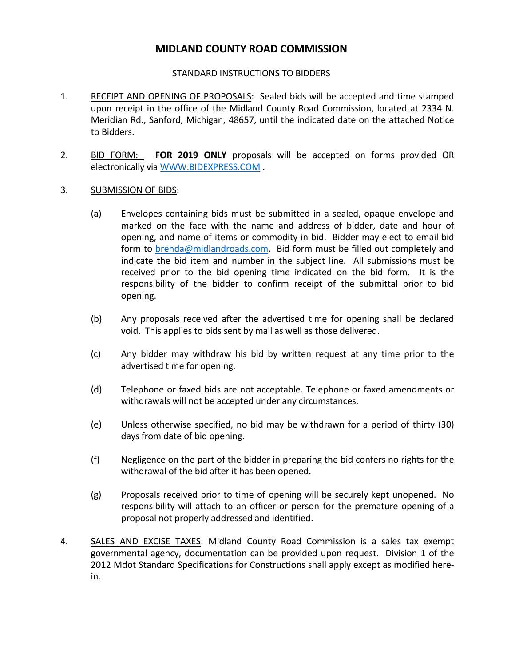## **MIDLAND COUNTY ROAD COMMISSION**

## STANDARD INSTRUCTIONS TO BIDDERS

- 1. RECEIPT AND OPENING OF PROPOSALS: Sealed bids will be accepted and time stamped upon receipt in the office of the Midland County Road Commission, located at 2334 N. Meridian Rd., Sanford, Michigan, 48657, until the indicated date on the attached Notice to Bidders.
- 2. BID FORM: **FOR 2019 ONLY** proposals will be accepted on forms provided OR electronically via [WWW.BIDEXPRESS.COM](http://www.bidexpress.com/) .
- 3. SUBMISSION OF BIDS:
	- (a) Envelopes containing bids must be submitted in a sealed, opaque envelope and marked on the face with the name and address of bidder, date and hour of opening, and name of items or commodity in bid. Bidder may elect to email bid form to [brenda@midlandroads.com.](mailto:brenda@midlandroads.com) Bid form must be filled out completely and indicate the bid item and number in the subject line. All submissions must be received prior to the bid opening time indicated on the bid form. It is the responsibility of the bidder to confirm receipt of the submittal prior to bid opening.
	- (b) Any proposals received after the advertised time for opening shall be declared void. This applies to bids sent by mail as well as those delivered.
	- (c) Any bidder may withdraw his bid by written request at any time prior to the advertised time for opening.
	- (d) Telephone or faxed bids are not acceptable. Telephone or faxed amendments or withdrawals will not be accepted under any circumstances.
	- (e) Unless otherwise specified, no bid may be withdrawn for a period of thirty (30) days from date of bid opening.
	- (f) Negligence on the part of the bidder in preparing the bid confers no rights for the withdrawal of the bid after it has been opened.
	- (g) Proposals received prior to time of opening will be securely kept unopened. No responsibility will attach to an officer or person for the premature opening of a proposal not properly addressed and identified.
- 4. SALES AND EXCISE TAXES: Midland County Road Commission is a sales tax exempt governmental agency, documentation can be provided upon request. Division 1 of the 2012 Mdot Standard Specifications for Constructions shall apply except as modified herein.